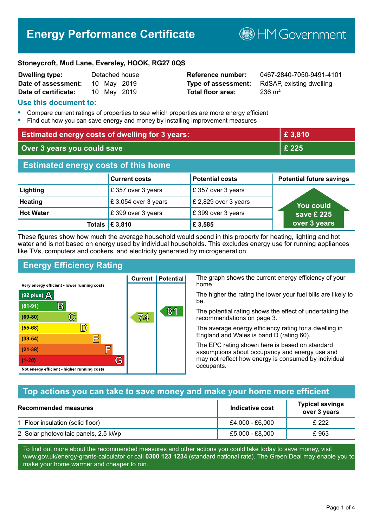# **Energy Performance Certificate**

**B**HMGovernment

#### **Stoneycroft, Mud Lane, Eversley, HOOK, RG27 0QS**

| Dwelling type:       |             | Detached house |
|----------------------|-------------|----------------|
| Date of assessment:  | 10 May 2019 |                |
| Date of certificate: | 10 May 2019 |                |

# **Total floor area:** 236 m<sup>2</sup>

**Reference number:** 0467-2840-7050-9491-4101 **Type of assessment:** RdSAP, existing dwelling

#### **Use this document to:**

- **•** Compare current ratings of properties to see which properties are more energy efficient
- **•** Find out how you can save energy and money by installing improvement measures

| <b>Estimated energy costs of dwelling for 3 years:</b> |                      | £3,810                 |                                 |
|--------------------------------------------------------|----------------------|------------------------|---------------------------------|
| Over 3 years you could save                            |                      | £ 225                  |                                 |
| <b>Estimated energy costs of this home</b>             |                      |                        |                                 |
|                                                        | <b>Current costs</b> | <b>Potential costs</b> | <b>Potential future savings</b> |
| Lighting                                               | £ 357 over 3 years   | £357 over 3 years      |                                 |
| <b>Heating</b>                                         | £3,054 over 3 years  | £ 2,829 over 3 years   | <b>You could</b>                |
| <b>Hot Water</b>                                       | £399 over 3 years    | £399 over 3 years      | save £ 225 $^{\circ}$           |
| Totals                                                 | £ 3,810              | £3,585                 | over 3 years                    |

These figures show how much the average household would spend in this property for heating, lighting and hot water and is not based on energy used by individual households. This excludes energy use for running appliances like TVs, computers and cookers, and electricity generated by microgeneration.

**Current | Potential** 

# **Energy Efficiency Rating**

The graph shows the current energy efficiency of your home.

The higher the rating the lower your fuel bills are likely to be.

The potential rating shows the effect of undertaking the recommendations on page 3.

The average energy efficiency rating for a dwelling in England and Wales is band D (rating 60).

The EPC rating shown here is based on standard assumptions about occupancy and energy use and may not reflect how energy is consumed by individual occupants.

# **Top actions you can take to save money and make your home more efficient**

| <b>Recommended measures</b>          | Indicative cost | <b>Typical savings</b><br>over 3 years |
|--------------------------------------|-----------------|----------------------------------------|
| 1 Floor insulation (solid floor)     | £4,000 - £6,000 | £ 222                                  |
| 2 Solar photovoltaic panels, 2.5 kWp | £5,000 - £8,000 | £963                                   |

To find out more about the recommended measures and other actions you could take today to save money, visit www.gov.uk/energy-grants-calculator or call **0300 123 1234** (standard national rate). The Green Deal may enable you to make your home warmer and cheaper to run.

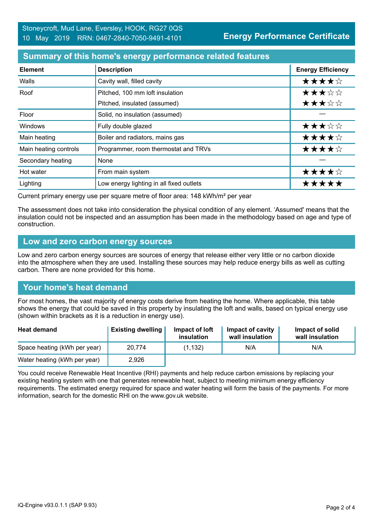### **Summary of this home's energy performance related features**

| <b>Element</b>        | <b>Description</b>                       | <b>Energy Efficiency</b> |
|-----------------------|------------------------------------------|--------------------------|
| Walls                 | Cavity wall, filled cavity               | ★★★★☆                    |
| Roof                  | Pitched, 100 mm loft insulation          | ★★★☆☆                    |
|                       | Pitched, insulated (assumed)             | ★★★☆☆                    |
| Floor                 | Solid, no insulation (assumed)           |                          |
| Windows               | Fully double glazed                      | ★★★☆☆                    |
| Main heating          | Boiler and radiators, mains gas          | ★★★★☆                    |
| Main heating controls | Programmer, room thermostat and TRVs     | ★★★★☆                    |
| Secondary heating     | None                                     |                          |
| Hot water             | From main system                         | ★★★★☆                    |
| Lighting              | Low energy lighting in all fixed outlets | *****                    |

Current primary energy use per square metre of floor area: 148 kWh/m² per year

The assessment does not take into consideration the physical condition of any element. 'Assumed' means that the insulation could not be inspected and an assumption has been made in the methodology based on age and type of construction.

#### **Low and zero carbon energy sources**

Low and zero carbon energy sources are sources of energy that release either very little or no carbon dioxide into the atmosphere when they are used. Installing these sources may help reduce energy bills as well as cutting carbon. There are none provided for this home.

# **Your home's heat demand**

For most homes, the vast majority of energy costs derive from heating the home. Where applicable, this table shows the energy that could be saved in this property by insulating the loft and walls, based on typical energy use (shown within brackets as it is a reduction in energy use).

| <b>Heat demand</b>           | <b>Existing dwelling</b> | Impact of loft<br>insulation | <b>Impact of cavity</b><br>wall insulation | Impact of solid<br>wall insulation |
|------------------------------|--------------------------|------------------------------|--------------------------------------------|------------------------------------|
| Space heating (kWh per year) | 20.774                   | (1.132)                      | N/A                                        | N/A                                |
| Water heating (kWh per year) | 2,926                    |                              |                                            |                                    |

You could receive Renewable Heat Incentive (RHI) payments and help reduce carbon emissions by replacing your existing heating system with one that generates renewable heat, subject to meeting minimum energy efficiency requirements. The estimated energy required for space and water heating will form the basis of the payments. For more information, search for the domestic RHI on the www.gov.uk website.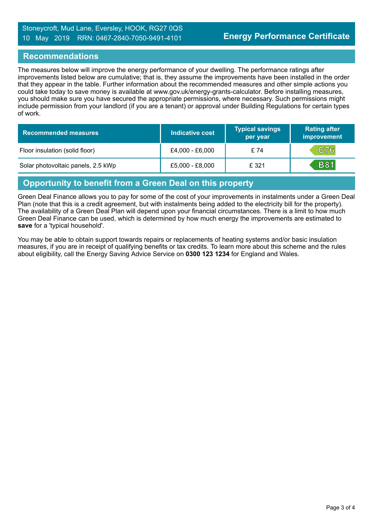#### **Recommendations**

The measures below will improve the energy performance of your dwelling. The performance ratings after improvements listed below are cumulative; that is, they assume the improvements have been installed in the order that they appear in the table. Further information about the recommended measures and other simple actions you could take today to save money is available at www.gov.uk/energy-grants-calculator. Before installing measures, you should make sure you have secured the appropriate permissions, where necessary. Such permissions might include permission from your landlord (if you are a tenant) or approval under Building Regulations for certain types of work.

| <b>Recommended measures</b>        | Indicative cost | <b>Typical savings</b><br>per year | <b>Rating after</b><br>improvement |
|------------------------------------|-----------------|------------------------------------|------------------------------------|
| Floor insulation (solid floor)     | £4,000 - £6,000 | £74                                | C76                                |
| Solar photovoltaic panels, 2.5 kWp | £5,000 - £8,000 | £ 321                              | <b>B81</b>                         |

# **Opportunity to benefit from a Green Deal on this property**

Green Deal Finance allows you to pay for some of the cost of your improvements in instalments under a Green Deal Plan (note that this is a credit agreement, but with instalments being added to the electricity bill for the property). The availability of a Green Deal Plan will depend upon your financial circumstances. There is a limit to how much Green Deal Finance can be used, which is determined by how much energy the improvements are estimated to **save** for a 'typical household'.

You may be able to obtain support towards repairs or replacements of heating systems and/or basic insulation measures, if you are in receipt of qualifying benefits or tax credits. To learn more about this scheme and the rules about eligibility, call the Energy Saving Advice Service on **0300 123 1234** for England and Wales.